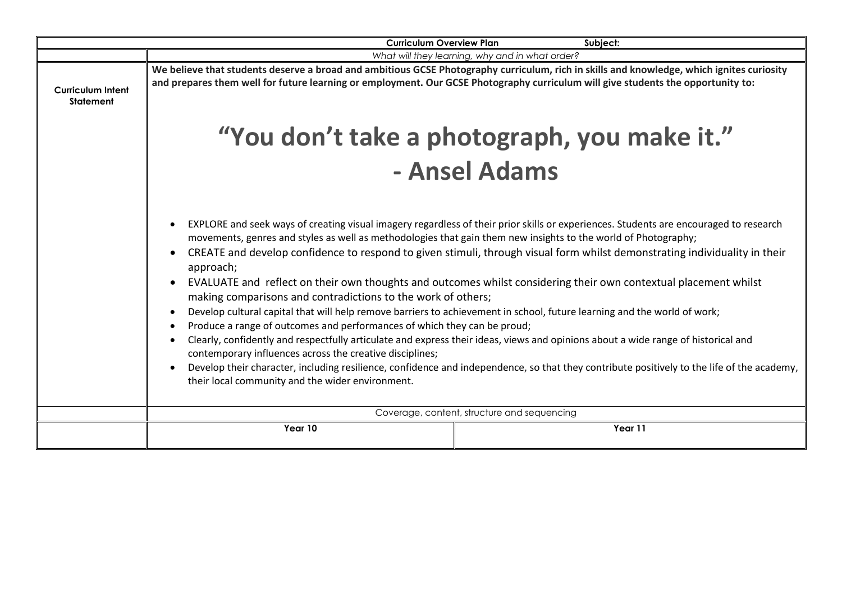| Subject:<br><b>Curriculum Overview Plan</b>  |                                                                                                                                                                                                                                                                                                                                                                                                                                                                                                                                                                                                                                                                                                                                                                                                                                                                                                                                                                                                                                                                                                                                                                                                                |                                                 |  |
|----------------------------------------------|----------------------------------------------------------------------------------------------------------------------------------------------------------------------------------------------------------------------------------------------------------------------------------------------------------------------------------------------------------------------------------------------------------------------------------------------------------------------------------------------------------------------------------------------------------------------------------------------------------------------------------------------------------------------------------------------------------------------------------------------------------------------------------------------------------------------------------------------------------------------------------------------------------------------------------------------------------------------------------------------------------------------------------------------------------------------------------------------------------------------------------------------------------------------------------------------------------------|-------------------------------------------------|--|
|                                              |                                                                                                                                                                                                                                                                                                                                                                                                                                                                                                                                                                                                                                                                                                                                                                                                                                                                                                                                                                                                                                                                                                                                                                                                                | What will they learning, why and in what order? |  |
| <b>Curriculum Intent</b><br><b>Statement</b> | We believe that students deserve a broad and ambitious GCSE Photography curriculum, rich in skills and knowledge, which ignites curiosity<br>and prepares them well for future learning or employment. Our GCSE Photography curriculum will give students the opportunity to:                                                                                                                                                                                                                                                                                                                                                                                                                                                                                                                                                                                                                                                                                                                                                                                                                                                                                                                                  |                                                 |  |
|                                              | "You don't take a photograph, you make it."                                                                                                                                                                                                                                                                                                                                                                                                                                                                                                                                                                                                                                                                                                                                                                                                                                                                                                                                                                                                                                                                                                                                                                    |                                                 |  |
|                                              | - Ansel Adams                                                                                                                                                                                                                                                                                                                                                                                                                                                                                                                                                                                                                                                                                                                                                                                                                                                                                                                                                                                                                                                                                                                                                                                                  |                                                 |  |
|                                              | EXPLORE and seek ways of creating visual imagery regardless of their prior skills or experiences. Students are encouraged to research<br>movements, genres and styles as well as methodologies that gain them new insights to the world of Photography;<br>CREATE and develop confidence to respond to given stimuli, through visual form whilst demonstrating individuality in their<br>$\bullet$<br>approach;<br>EVALUATE and reflect on their own thoughts and outcomes whilst considering their own contextual placement whilst<br>making comparisons and contradictions to the work of others;<br>Develop cultural capital that will help remove barriers to achievement in school, future learning and the world of work;<br>Produce a range of outcomes and performances of which they can be proud;<br>Clearly, confidently and respectfully articulate and express their ideas, views and opinions about a wide range of historical and<br>contemporary influences across the creative disciplines;<br>Develop their character, including resilience, confidence and independence, so that they contribute positively to the life of the academy,<br>their local community and the wider environment. |                                                 |  |
|                                              |                                                                                                                                                                                                                                                                                                                                                                                                                                                                                                                                                                                                                                                                                                                                                                                                                                                                                                                                                                                                                                                                                                                                                                                                                | Coverage, content, structure and sequencing     |  |
|                                              | Year 10                                                                                                                                                                                                                                                                                                                                                                                                                                                                                                                                                                                                                                                                                                                                                                                                                                                                                                                                                                                                                                                                                                                                                                                                        | Year 11                                         |  |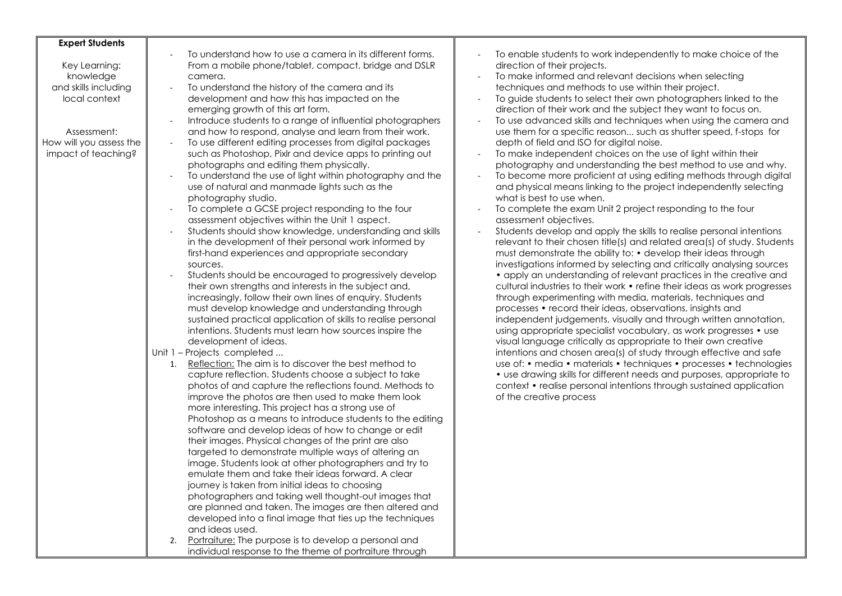| <b>Expert Students</b><br>Key Learning:<br>knowledge<br>and skills including<br>local context<br>Assessment:<br>How will you assess the<br>impact of teaching? | To understand how to use a camera in its different forms.<br>From a mobile phone/tablet, compact, bridge and DSLR<br>camera.<br>To understand the history of the camera and its<br>÷,<br>development and how this has impacted on the<br>emerging growth of this art form.<br>Introduce students to a range of influential photographers<br>and how to respond, analyse and learn from their work.<br>To use different editing processes from digital packages<br>$\sim$<br>such as Photoshop, Pixlr and device apps to printing out<br>photographs and editing them physically.<br>To understand the use of light within photography and the<br>$\sim$<br>use of natural and manmade lights such as the<br>photography studio.<br>To complete a GCSE project responding to the four<br>$\sim$<br>assessment objectives within the Unit 1 aspect.<br>Students should show knowledge, understanding and skills<br>in the development of their personal work informed by<br>first-hand experiences and appropriate secondary<br>sources.<br>Students should be encouraged to progressively develop<br>their own strengths and interests in the subject and,<br>increasingly, follow their own lines of enquiry. Students<br>must develop knowledge and understanding through<br>sustained practical application of skills to realise personal<br>intentions. Students must learn how sources inspire the<br>development of ideas.<br>Unit 1 - Projects completed<br>Reflection: The aim is to discover the best method to<br>1.<br>capture reflection. Students choose a subject to take<br>photos of and capture the reflections found. Methods to<br>improve the photos are then used to make them look<br>more interesting. This project has a strong use of<br>Photoshop as a means to introduce students to the editing<br>software and develop ideas of how to change or edit<br>their images. Physical changes of the print are also<br>targeted to demonstrate multiple ways of altering an<br>image. Students look at other photographers and try to<br>emulate them and take their ideas forward. A clear<br>journey is taken from initial ideas to choosing | To enable students to work independently to make choice of the<br>direction of their projects.<br>To make informed and relevant decisions when selecting<br>techniques and methods to use within their project.<br>To guide students to select their own photographers linked to the<br>direction of their work and the subject they want to focus on.<br>To use advanced skills and techniques when using the camera and<br>use them for a specific reason such as shutter speed, f-stops for<br>depth of field and ISO for digital noise.<br>To make independent choices on the use of light within their<br>photography and understanding the best method to use and why.<br>To become more proficient at using editing methods through digital<br>and physical means linking to the project independently selecting<br>what is best to use when.<br>To complete the exam Unit 2 project responding to the four<br>assessment objectives.<br>Students develop and apply the skills to realise personal intentions<br>relevant to their chosen title(s) and related area(s) of study. Students<br>must demonstrate the ability to: • develop their ideas through<br>investigations informed by selecting and critically analysing sources<br>• apply an understanding of relevant practices in the creative and<br>cultural industries to their work • refine their ideas as work progresses<br>through experimenting with media, materials, techniques and<br>processes • record their ideas, observations, insights and<br>independent judgements, visually and through written annotation,<br>using appropriate specialist vocabulary, as work progresses • use<br>visual language critically as appropriate to their own creative<br>intentions and chosen area(s) of study through effective and safe<br>use of: • media • materials • techniques • processes • technologies<br>• use drawing skills for different needs and purposes, appropriate to<br>context • realise personal intentions through sustained application<br>of the creative process |
|----------------------------------------------------------------------------------------------------------------------------------------------------------------|----------------------------------------------------------------------------------------------------------------------------------------------------------------------------------------------------------------------------------------------------------------------------------------------------------------------------------------------------------------------------------------------------------------------------------------------------------------------------------------------------------------------------------------------------------------------------------------------------------------------------------------------------------------------------------------------------------------------------------------------------------------------------------------------------------------------------------------------------------------------------------------------------------------------------------------------------------------------------------------------------------------------------------------------------------------------------------------------------------------------------------------------------------------------------------------------------------------------------------------------------------------------------------------------------------------------------------------------------------------------------------------------------------------------------------------------------------------------------------------------------------------------------------------------------------------------------------------------------------------------------------------------------------------------------------------------------------------------------------------------------------------------------------------------------------------------------------------------------------------------------------------------------------------------------------------------------------------------------------------------------------------------------------------------------------------------------------------------------------------------------------------------------------------------|----------------------------------------------------------------------------------------------------------------------------------------------------------------------------------------------------------------------------------------------------------------------------------------------------------------------------------------------------------------------------------------------------------------------------------------------------------------------------------------------------------------------------------------------------------------------------------------------------------------------------------------------------------------------------------------------------------------------------------------------------------------------------------------------------------------------------------------------------------------------------------------------------------------------------------------------------------------------------------------------------------------------------------------------------------------------------------------------------------------------------------------------------------------------------------------------------------------------------------------------------------------------------------------------------------------------------------------------------------------------------------------------------------------------------------------------------------------------------------------------------------------------------------------------------------------------------------------------------------------------------------------------------------------------------------------------------------------------------------------------------------------------------------------------------------------------------------------------------------------------------------------------------------------------------------------------------------------------------------------------------------------------------------------------------------------|
|                                                                                                                                                                | photographers and taking well thought-out images that<br>are planned and taken. The images are then altered and<br>developed into a final image that ties up the techniques<br>and ideas used.<br>Portraiture: The purpose is to develop a personal and<br>2.<br>individual response to the theme of portraiture through                                                                                                                                                                                                                                                                                                                                                                                                                                                                                                                                                                                                                                                                                                                                                                                                                                                                                                                                                                                                                                                                                                                                                                                                                                                                                                                                                                                                                                                                                                                                                                                                                                                                                                                                                                                                                                             |                                                                                                                                                                                                                                                                                                                                                                                                                                                                                                                                                                                                                                                                                                                                                                                                                                                                                                                                                                                                                                                                                                                                                                                                                                                                                                                                                                                                                                                                                                                                                                                                                                                                                                                                                                                                                                                                                                                                                                                                                                                                |